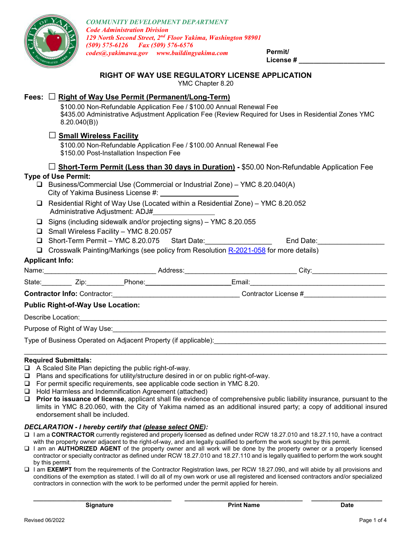

**License # \_\_\_\_\_\_\_\_\_\_\_\_\_\_\_\_\_\_\_\_\_\_\_**

# **RIGHT OF WAY USE REGULATORY LICENSE APPLICATION**

YMC Chapter 8.20

# **Fees:** □ **Right of Way Use Permit (Permanent/Long-Term)**

\$100.00 Non-Refundable Application Fee / \$100.00 Annual Renewal Fee \$435.00 Administrative Adjustment Application Fee (Review Required for Uses in Residential Zones YMC 8.20.040(B))

# **□ Small Wireless Facility**

\$100.00 Non-Refundable Application Fee / \$100.00 Annual Renewal Fee \$150.00 Post-Installation Inspection Fee

### **□ Short-Term Permit (Less than 30 days in Duration) -** \$50.00 Non-Refundable Application Fee

### **Type of Use Permit:**

- Business/Commercial Use (Commercial or Industrial Zone) YMC 8.20.040(A) City of Yakima Business License #:
- Residential Right of Way Use (Located within a Residential Zone) YMC 8.20.052 Administrative Adjustment: ADJ#
- $\Box$  Signs (including sidewalk and/or projecting signs) YMC 8.20.055
- Small Wireless Facility YMC 8.20.057
- □ Short-Term Permit YMC 8.20.075 Start Date: <br>□ Short-Term Permit YMC 8.20.075 Start Date:
- Crosswalk Painting/Markings (see policy from Resolution [R-2021-058](https://apps.yakimawa.gov/WebLink/DocView.aspx?id=514333&dbid=0&repo=CityOfYakima) for more details)

### **Applicant Info:**

| Name: <u>___________________________</u>                        |  |                                |  | City:                |  |  |
|-----------------------------------------------------------------|--|--------------------------------|--|----------------------|--|--|
|                                                                 |  | State: <u>Zip: Phone: 2001</u> |  |                      |  |  |
|                                                                 |  |                                |  | Contractor License # |  |  |
| <b>Public Right-of-Way Use Location:</b>                        |  |                                |  |                      |  |  |
|                                                                 |  |                                |  |                      |  |  |
|                                                                 |  |                                |  |                      |  |  |
| Type of Business Operated on Adjacent Property (if applicable): |  |                                |  |                      |  |  |
|                                                                 |  |                                |  |                      |  |  |

#### **Required Submittals:**

- $\Box$  A Scaled Site Plan depicting the public right-of-way.
- $\Box$  Plans and specifications for utility/structure desired in or on public right-of-way.
- $\Box$  For permit specific requirements, see applicable code section in YMC 8.20.
- $\Box$  Hold Harmless and Indemnification Agreement (attached)
- **Prior to issuance of license**, applicant shall file evidence of comprehensive public liability insurance, pursuant to the limits in YMC 8.20.060, with the City of Yakima named as an additional insured party; a copy of additional insured endorsement shall be included.

### *DECLARATION - I hereby certify that (please select ONE):*

- I am a **CONTRACTOR** currently registered and properly licensed as defined under RCW 18.27.010 and 18.27.110, have a contract with the property owner adjacent to the right-of-way, and am legally qualified to perform the work sought by this permit.
- I am an **AUTHORIZED AGENT** of the property owner and all work will be done by the property owner or a properly licensed contractor or specialty contractor as defined under RCW 18.27.010 and 18.27.110 and is legally qualified to perform the work sought by this permit.
- I am **EXEMPT** from the requirements of the Contractor Registration laws, per RCW 18.27.090, and will abide by all provisions and conditions of the exemption as stated. I will do all of my own work or use all registered and licensed contractors and/or specialized contractors in connection with the work to be performed under the permit applied for herein.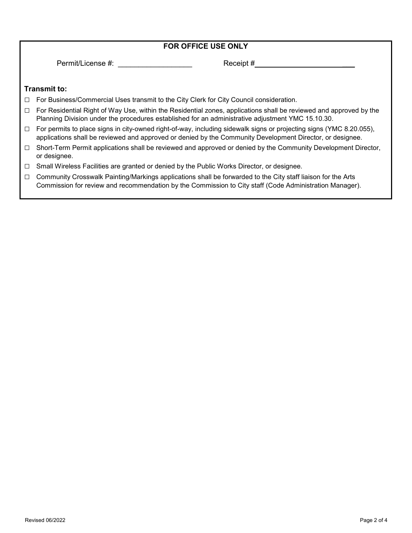|        | <b>FOR OFFICE USE ONLY</b>                                                                                                                                                                                                       |  |  |  |  |  |
|--------|----------------------------------------------------------------------------------------------------------------------------------------------------------------------------------------------------------------------------------|--|--|--|--|--|
|        | Permit/License #:<br>Receipt #                                                                                                                                                                                                   |  |  |  |  |  |
|        | <b>Transmit to:</b>                                                                                                                                                                                                              |  |  |  |  |  |
| $\Box$ | For Business/Commercial Uses transmit to the City Clerk for City Council consideration.                                                                                                                                          |  |  |  |  |  |
| $\Box$ | For Residential Right of Way Use, within the Residential zones, applications shall be reviewed and approved by the<br>Planning Division under the procedures established for an administrative adjustment YMC 15.10.30.          |  |  |  |  |  |
| $\Box$ | For permits to place signs in city-owned right-of-way, including sidewalk signs or projecting signs (YMC 8.20.055),<br>applications shall be reviewed and approved or denied by the Community Development Director, or designee. |  |  |  |  |  |
| $\Box$ | Short-Term Permit applications shall be reviewed and approved or denied by the Community Development Director,<br>or designee.                                                                                                   |  |  |  |  |  |
| $\Box$ | Small Wireless Facilities are granted or denied by the Public Works Director, or designee.                                                                                                                                       |  |  |  |  |  |
| $\Box$ | Community Crosswalk Painting/Markings applications shall be forwarded to the City staff liaison for the Arts<br>Commission for review and recommendation by the Commission to City staff (Code Administration Manager).          |  |  |  |  |  |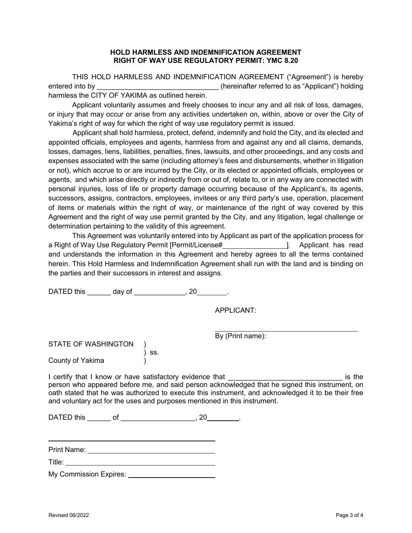#### **HOLD HARMLESS AND INDEMNIFICATION AGREEMENT RIGHT OF WAY USE REGULATORY PERMIT: YMC 8.20**

THIS HOLD HARMLESS AND INDEMNIFICATION AGREEMENT ("Agreement") is hereby entered into by **Exercise 2.1** (hereinafter referred to as "Applicant") holding harmless the CITY OF YAKIMA as outlined herein.

Applicant voluntarily assumes and freely chooses to incur any and all risk of loss, damages, or injury that may occur or arise from any activities undertaken on, within, above or over the City of Yakima's right of way for which the right of way use regulatory permit is issued.

Applicant shall hold harmless, protect, defend, indemnify and hold the City, and its elected and appointed officials, employees and agents, harmless from and against any and all claims, demands, losses, damages, liens, liabilities, penalties, fines, lawsuits, and other proceedings, and any costs and expenses associated with the same (including attorney's fees and disbursements, whether in litigation or not), which accrue to or are incurred by the City, or its elected or appointed officials, employees or agents, and which arise directly or indirectly from or out of, relate to, or in any way are connected with personal injuries, loss of life or property damage occurring because of the Applicant's, its agents, successors, assigns, contractors, employees, invitees or any third party's use, operation, placement of items or materials within the right of way, or maintenance of the right of way covered by this Agreement and the right of way use permit granted by the City, and any litigation, legal challenge or determination pertaining to the validity of this agreement.

This Agreement was voluntarily entered into by Applicant as part of the application process for a Right of Way Use Regulatory Permit [Permit/License# ]. Applicant has read and understands the information in this Agreement and hereby agrees to all the terms contained herein. This Hold Harmless and Indemnification Agreement shall run with the land and is binding on the parties and their successors in interest and assigns.

DATED this \_\_\_\_\_\_\_ day of \_\_\_\_\_\_\_\_\_\_\_\_\_, 20\_\_\_\_\_\_\_.

APPLICANT:

By (Print name):

STATE OF WASHINGTON ) ss. County of Yakima )

I certify that I know or have satisfactory evidence that **EXACTO EXACTS** is the person who appeared before me, and said person acknowledged that he signed this instrument, on oath stated that he was authorized to execute this instrument, and acknowledged it to be their free and voluntary act for the uses and purposes mentioned in this instrument.

DATED this \_\_\_\_\_\_\_ of \_\_\_\_\_\_\_\_\_\_\_\_\_\_\_\_\_\_\_\_\_\_, 20\_\_\_\_\_\_\_\_\_.

Print Name: The Contract of The Contract of The Contract of The Contract of The Contract of The Contract of The Contract of The Contract of The Contract of The Contract of The Contract of The Contract of The Contract of Th

Title:

My Commission Expires: <u>Queen</u>

 $\overline{a}$